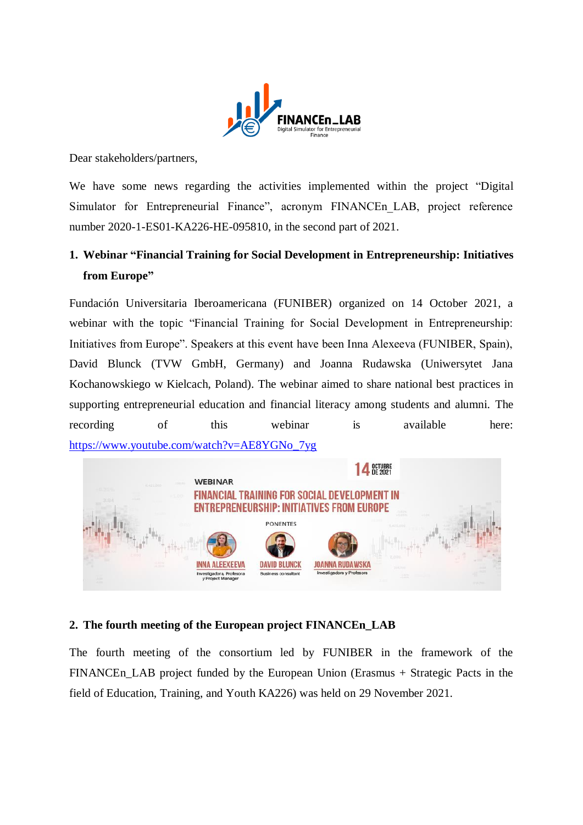

Dear stakeholders/partners,

We have some news regarding the activities implemented within the project "Digital Simulator for Entrepreneurial Finance", acronym FINANCEn\_LAB, project reference number 2020-1-ES01-KA226-HE-095810, in the second part of 2021.

## **1. Webinar "Financial Training for Social Development in Entrepreneurship: Initiatives from Europe"**

Fundación Universitaria Iberoamericana (FUNIBER) organized on 14 October 2021, a webinar with the topic "Financial Training for Social Development in Entrepreneurship: Initiatives from Europe". Speakers at this event have been Inna Alexeeva (FUNIBER, Spain), David Blunck (TVW GmbH, Germany) and Joanna Rudawska (Uniwersytet Jana Kochanowskiego w Kielcach, Poland). The webinar aimed to share national best practices in supporting entrepreneurial education and financial literacy among students and alumni. The recording of this webinar is available here: [https://www.youtube.com/watch?v=AE8YGNo\\_7yg](https://www.youtube.com/watch?v=AE8YGNo_7yg)



## **2. The fourth meeting of the European project FINANCEn\_LAB**

The fourth meeting of the consortium led by FUNIBER in the framework of the FINANCEn LAB project funded by the European Union (Erasmus + Strategic Pacts in the field of Education, Training, and Youth KA226) was held on 29 November 2021.